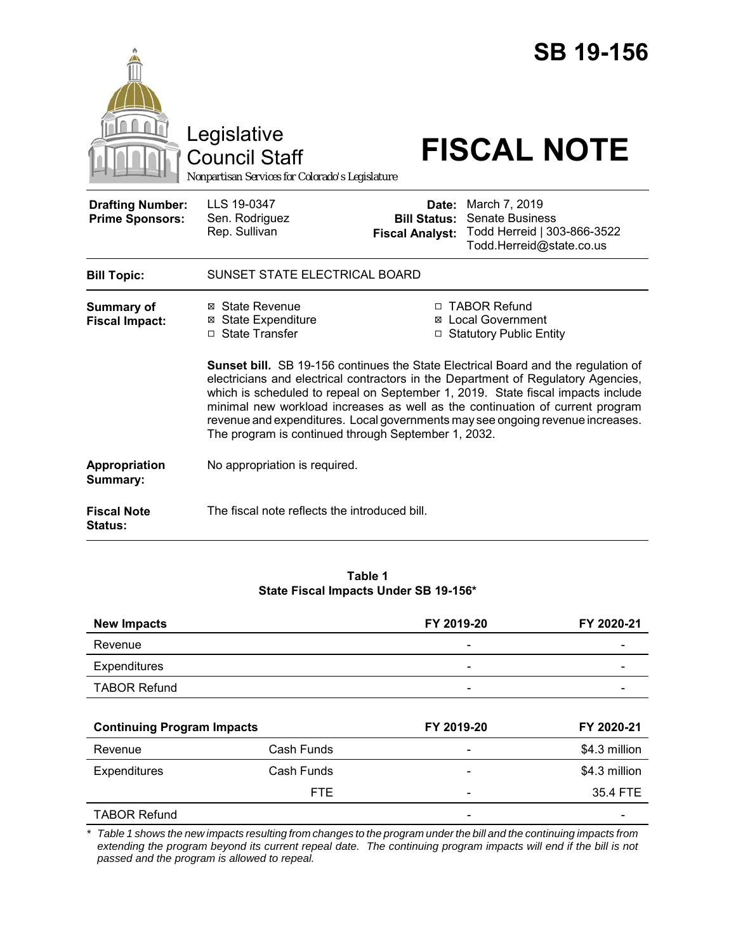|                                                   | Legislative<br><b>Council Staff</b><br>Nonpartisan Services for Colorado's Legislature                                                                                                                                 |                                                        | <b>SB 19-156</b><br><b>FISCAL NOTE</b>                                                                                                                                                                                                                                                                                                |  |
|---------------------------------------------------|------------------------------------------------------------------------------------------------------------------------------------------------------------------------------------------------------------------------|--------------------------------------------------------|---------------------------------------------------------------------------------------------------------------------------------------------------------------------------------------------------------------------------------------------------------------------------------------------------------------------------------------|--|
| <b>Drafting Number:</b><br><b>Prime Sponsors:</b> | LLS 19-0347<br>Sen. Rodriguez<br>Rep. Sullivan                                                                                                                                                                         | Date:<br><b>Bill Status:</b><br><b>Fiscal Analyst:</b> | March 7, 2019<br><b>Senate Business</b><br>Todd Herreid   303-866-3522<br>Todd.Herreid@state.co.us                                                                                                                                                                                                                                    |  |
| <b>Bill Topic:</b>                                | SUNSET STATE ELECTRICAL BOARD                                                                                                                                                                                          |                                                        |                                                                                                                                                                                                                                                                                                                                       |  |
| <b>Summary of</b><br><b>Fiscal Impact:</b>        | ⊠ State Revenue<br>⊠ State Expenditure<br>□ State Transfer                                                                                                                                                             |                                                        | □ TABOR Refund<br>⊠ Local Government<br>□ Statutory Public Entity<br><b>Sunset bill.</b> SB 19-156 continues the State Electrical Board and the regulation of<br>electricians and electrical contractors in the Department of Regulatory Agencies,<br>which is scheduled to repeal on September 1, 2019. State fiscal impacts include |  |
|                                                   | minimal new workload increases as well as the continuation of current program<br>revenue and expenditures. Local governments may see ongoing revenue increases.<br>The program is continued through September 1, 2032. |                                                        |                                                                                                                                                                                                                                                                                                                                       |  |
| Appropriation<br>Summary:                         | No appropriation is required.                                                                                                                                                                                          |                                                        |                                                                                                                                                                                                                                                                                                                                       |  |
| <b>Fiscal Note</b><br><b>Status:</b>              | The fiscal note reflects the introduced bill.                                                                                                                                                                          |                                                        |                                                                                                                                                                                                                                                                                                                                       |  |

#### **Table 1 State Fiscal Impacts Under SB 19-156\***

| <b>New Impacts</b>                |            | FY 2019-20                   | FY 2020-21    |
|-----------------------------------|------------|------------------------------|---------------|
| Revenue                           |            | $\qquad \qquad \blacksquare$ |               |
| Expenditures                      |            | $\overline{\phantom{a}}$     |               |
| <b>TABOR Refund</b>               |            |                              |               |
| <b>Continuing Program Impacts</b> |            |                              |               |
|                                   |            | FY 2019-20                   | FY 2020-21    |
| Revenue                           | Cash Funds |                              | \$4.3 million |
| Expenditures                      | Cash Funds |                              | \$4.3 million |
|                                   | FTE.       |                              | 35.4 FTE      |

*\* Table 1 shows the new impacts resulting from changes to the program under the bill and the continuing impacts from extending the program beyond its current repeal date. The continuing program impacts will end if the bill is not passed and the program is allowed to repeal.*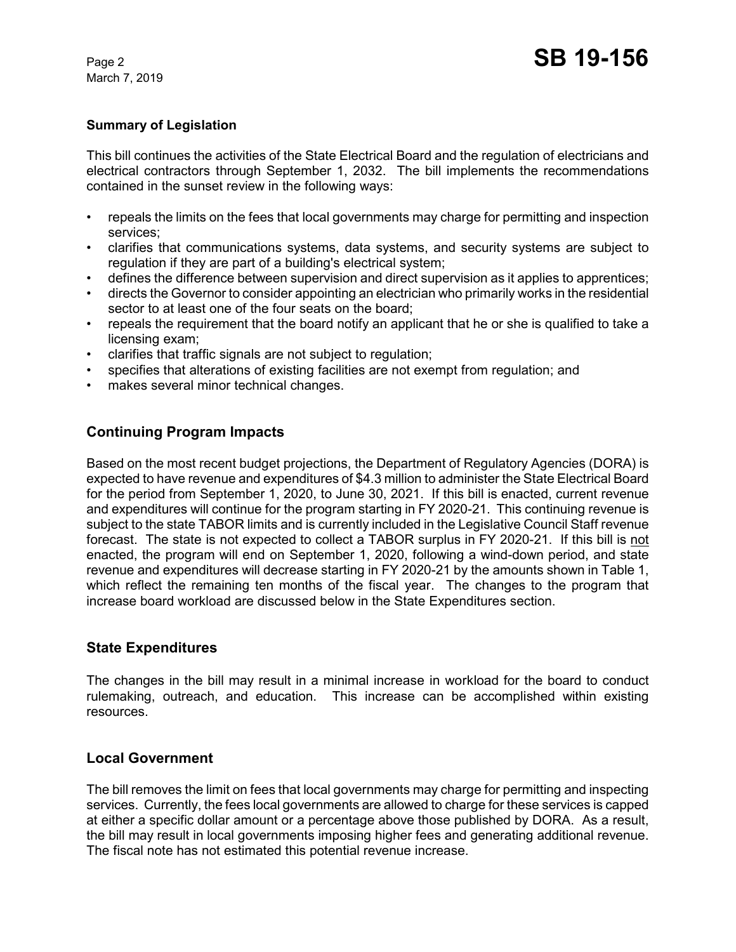March 7, 2019

#### **Summary of Legislation**

This bill continues the activities of the State Electrical Board and the regulation of electricians and electrical contractors through September 1, 2032. The bill implements the recommendations contained in the sunset review in the following ways:

- repeals the limits on the fees that local governments may charge for permitting and inspection services;
- clarifies that communications systems, data systems, and security systems are subject to regulation if they are part of a building's electrical system;
- defines the difference between supervision and direct supervision as it applies to apprentices;
- directs the Governor to consider appointing an electrician who primarily works in the residential sector to at least one of the four seats on the board;
- repeals the requirement that the board notify an applicant that he or she is qualified to take a licensing exam;
- clarifies that traffic signals are not subject to regulation;
- specifies that alterations of existing facilities are not exempt from regulation; and
- makes several minor technical changes.

## **Continuing Program Impacts**

Based on the most recent budget projections, the Department of Regulatory Agencies (DORA) is expected to have revenue and expenditures of \$4.3 million to administer the State Electrical Board for the period from September 1, 2020, to June 30, 2021. If this bill is enacted, current revenue and expenditures will continue for the program starting in FY 2020-21. This continuing revenue is subject to the state TABOR limits and is currently included in the Legislative Council Staff revenue forecast. The state is not expected to collect a TABOR surplus in FY 2020-21. If this bill is not enacted, the program will end on September 1, 2020, following a wind-down period, and state revenue and expenditures will decrease starting in FY 2020-21 by the amounts shown in Table 1, which reflect the remaining ten months of the fiscal year. The changes to the program that increase board workload are discussed below in the State Expenditures section.

### **State Expenditures**

The changes in the bill may result in a minimal increase in workload for the board to conduct rulemaking, outreach, and education. This increase can be accomplished within existing resources.

### **Local Government**

The bill removes the limit on fees that local governments may charge for permitting and inspecting services. Currently, the fees local governments are allowed to charge for these services is capped at either a specific dollar amount or a percentage above those published by DORA. As a result, the bill may result in local governments imposing higher fees and generating additional revenue. The fiscal note has not estimated this potential revenue increase.